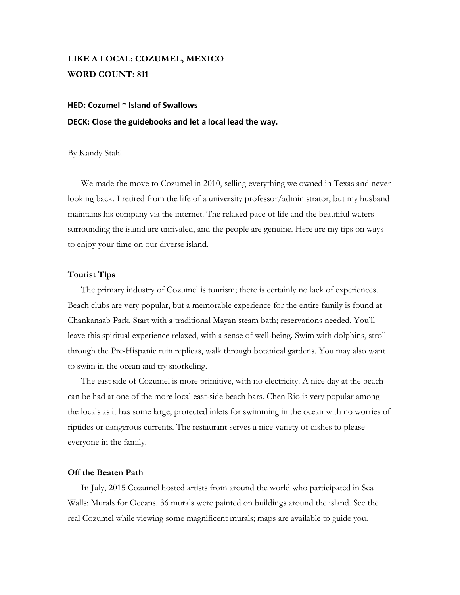# **LIKE A LOCAL: COZUMEL, MEXICO WORD COUNT: 811**

# **HED: Cozumel ~ Island of Swallows DECK: Close the guidebooks and let a local lead the way.**

#### By Kandy Stahl

We made the move to Cozumel in 2010, selling everything we owned in Texas and never looking back. I retired from the life of a university professor/administrator, but my husband maintains his company via the internet. The relaxed pace of life and the beautiful waters surrounding the island are unrivaled, and the people are genuine. Here are my tips on ways to enjoy your time on our diverse island.

### **Tourist Tips**

The primary industry of Cozumel is tourism; there is certainly no lack of experiences. Beach clubs are very popular, but a memorable experience for the entire family is found at Chankanaab Park. Start with a traditional Mayan steam bath; reservations needed. You'll leave this spiritual experience relaxed, with a sense of well-being. Swim with dolphins, stroll through the Pre-Hispanic ruin replicas, walk through botanical gardens. You may also want to swim in the ocean and try snorkeling.

The east side of Cozumel is more primitive, with no electricity. A nice day at the beach can be had at one of the more local east-side beach bars. Chen Rio is very popular among the locals as it has some large, protected inlets for swimming in the ocean with no worries of riptides or dangerous currents. The restaurant serves a nice variety of dishes to please everyone in the family.

### **Off the Beaten Path**

In July, 2015 Cozumel hosted artists from around the world who participated in Sea Walls: Murals for Oceans. 36 murals were painted on buildings around the island. See the real Cozumel while viewing some magnificent murals; maps are available to guide you.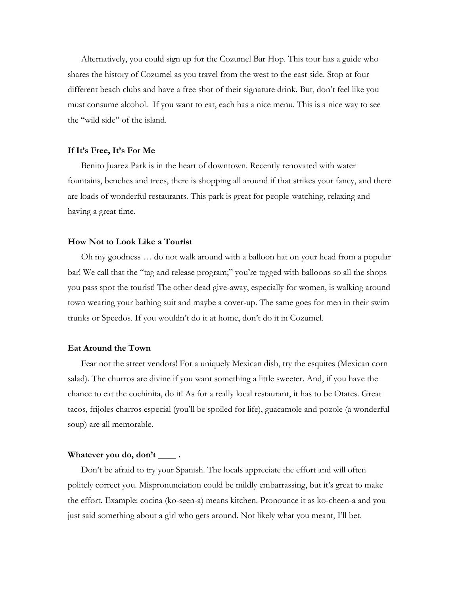Alternatively, you could sign up for the Cozumel Bar Hop. This tour has a guide who shares the history of Cozumel as you travel from the west to the east side. Stop at four different beach clubs and have a free shot of their signature drink. But, don't feel like you must consume alcohol. If you want to eat, each has a nice menu. This is a nice way to see the "wild side" of the island.

#### **If It's Free, It's For Me**

Benito Juarez Park is in the heart of downtown. Recently renovated with water fountains, benches and trees, there is shopping all around if that strikes your fancy, and there are loads of wonderful restaurants. This park is great for people-watching, relaxing and having a great time.

#### **How Not to Look Like a Tourist**

Oh my goodness … do not walk around with a balloon hat on your head from a popular bar! We call that the "tag and release program;" you're tagged with balloons so all the shops you pass spot the tourist! The other dead give-away, especially for women, is walking around town wearing your bathing suit and maybe a cover-up. The same goes for men in their swim trunks or Speedos. If you wouldn't do it at home, don't do it in Cozumel.

#### **Eat Around the Town**

Fear not the street vendors! For a uniquely Mexican dish, try the esquites (Mexican corn salad). The churros are divine if you want something a little sweeter. And, if you have the chance to eat the cochinita, do it! As for a really local restaurant, it has to be Otates. Great tacos, frijoles charros especial (you'll be spoiled for life), guacamole and pozole (a wonderful soup) are all memorable.

### **Whatever you do, don't \_\_\_\_ .**

Don't be afraid to try your Spanish. The locals appreciate the effort and will often politely correct you. Mispronunciation could be mildly embarrassing, but it's great to make the effort. Example: cocina (ko-seen-a) means kitchen. Pronounce it as ko-cheen-a and you just said something about a girl who gets around. Not likely what you meant, I'll bet.